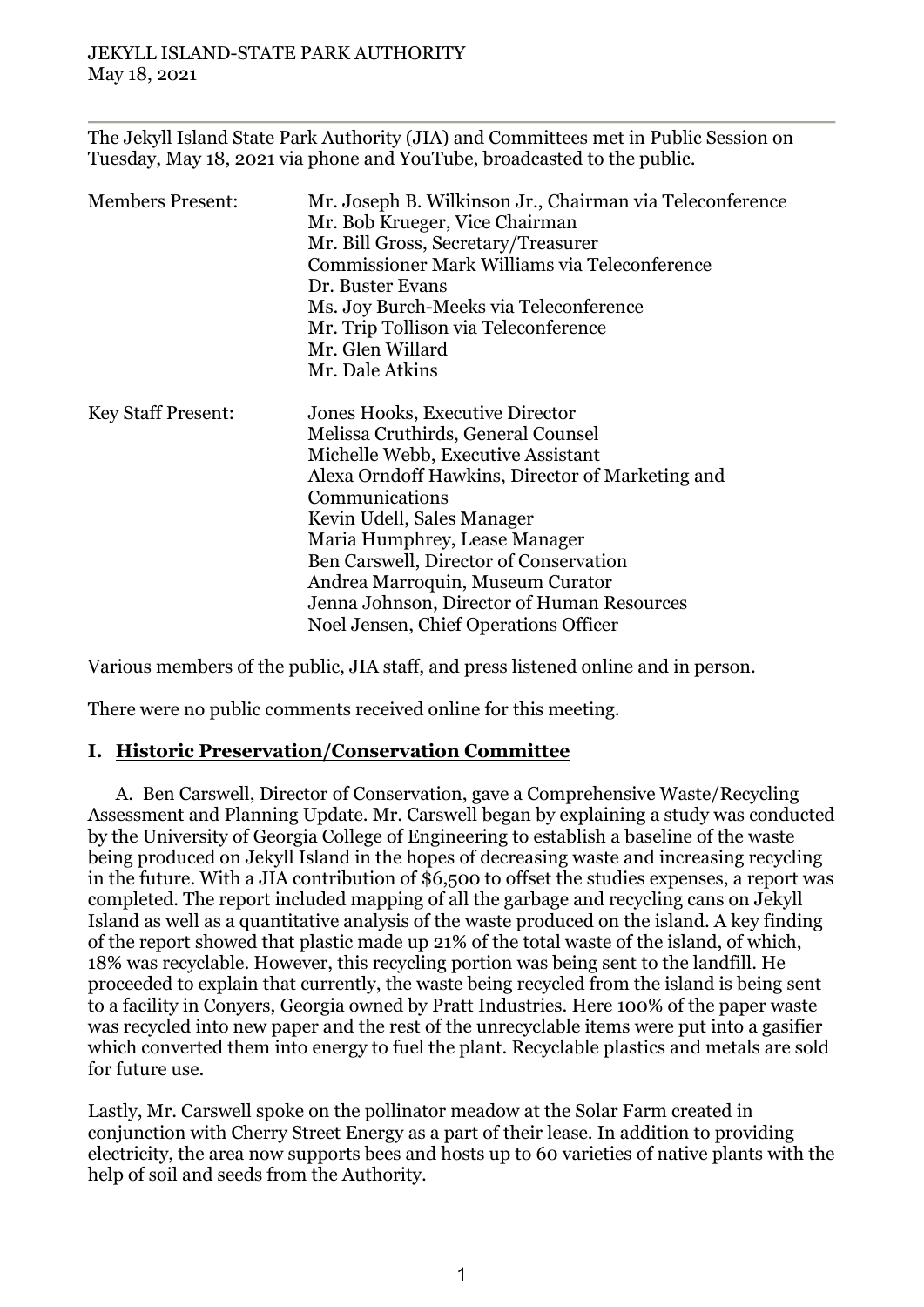The Jekyll Island State Park Authority (JIA) and Committees met in Public Session on Tuesday, May 18, 2021 via phone and YouTube, broadcasted to the public.

| <b>Members Present:</b>   | Mr. Joseph B. Wilkinson Jr., Chairman via Teleconference<br>Mr. Bob Krueger, Vice Chairman<br>Mr. Bill Gross, Secretary/Treasurer<br>Commissioner Mark Williams via Teleconference<br>Dr. Buster Evans<br>Ms. Joy Burch-Meeks via Teleconference<br>Mr. Trip Tollison via Teleconference                                       |
|---------------------------|--------------------------------------------------------------------------------------------------------------------------------------------------------------------------------------------------------------------------------------------------------------------------------------------------------------------------------|
|                           | Mr. Glen Willard<br>Mr. Dale Atkins                                                                                                                                                                                                                                                                                            |
| <b>Key Staff Present:</b> | Jones Hooks, Executive Director<br>Melissa Cruthirds, General Counsel<br>Michelle Webb, Executive Assistant<br>Alexa Orndoff Hawkins, Director of Marketing and<br>Communications<br>Kevin Udell, Sales Manager<br>Maria Humphrey, Lease Manager<br>Ben Carswell, Director of Conservation<br>Andrea Marroquin, Museum Curator |
|                           | Jenna Johnson, Director of Human Resources<br>Noel Jensen, Chief Operations Officer                                                                                                                                                                                                                                            |

Various members of the public, JIA staff, and press listened online and in person.

There were no public comments received online for this meeting.

### **I. Historic Preservation/Conservation Committee**

A. Ben Carswell, Director of Conservation, gave a Comprehensive Waste/Recycling Assessment and Planning Update. Mr. Carswell began by explaining a study was conducted by the University of Georgia College of Engineering to establish a baseline of the waste being produced on Jekyll Island in the hopes of decreasing waste and increasing recycling in the future. With a JIA contribution of \$6,500 to offset the studies expenses, a report was completed. The report included mapping of all the garbage and recycling cans on Jekyll Island as well as a quantitative analysis of the waste produced on the island. A key finding of the report showed that plastic made up 21% of the total waste of the island, of which, 18% was recyclable. However, this recycling portion was being sent to the landfill. He proceeded to explain that currently, the waste being recycled from the island is being sent to a facility in Conyers, Georgia owned by Pratt Industries. Here 100% of the paper waste was recycled into new paper and the rest of the unrecyclable items were put into a gasifier which converted them into energy to fuel the plant. Recyclable plastics and metals are sold for future use.

Lastly, Mr. Carswell spoke on the pollinator meadow at the Solar Farm created in conjunction with Cherry Street Energy as a part of their lease. In addition to providing electricity, the area now supports bees and hosts up to 60 varieties of native plants with the help of soil and seeds from the Authority.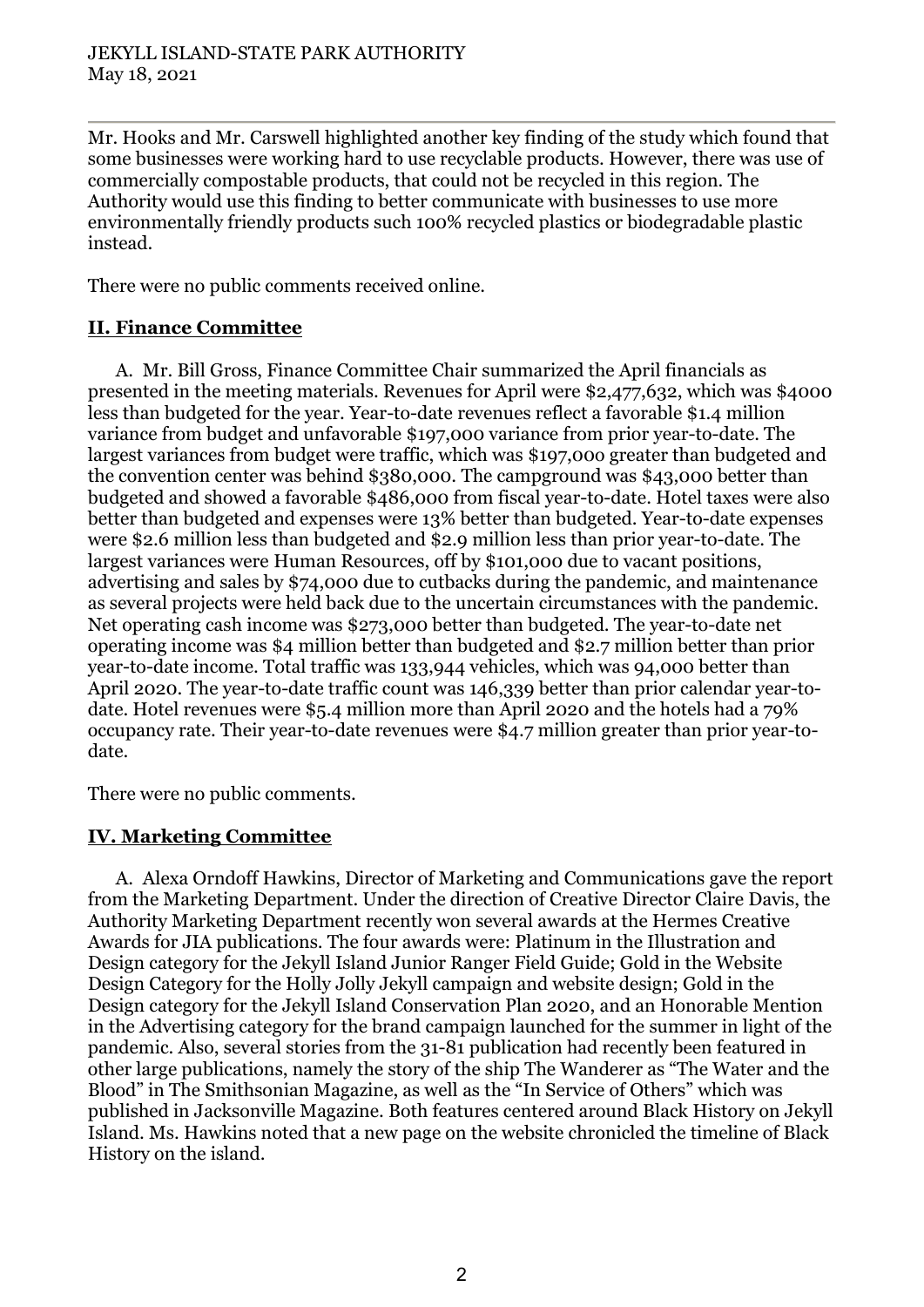Mr. Hooks and Mr. Carswell highlighted another key finding of the study which found that some businesses were working hard to use recyclable products. However, there was use of commercially compostable products, that could not be recycled in this region. The Authority would use this finding to better communicate with businesses to use more environmentally friendly products such 100% recycled plastics or biodegradable plastic instead.

There were no public comments received online.

# **II. Finance Committee**

A. Mr. Bill Gross, Finance Committee Chair summarized the April financials as presented in the meeting materials. Revenues for April were \$2,477,632, which was \$4000 less than budgeted for the year. Year-to-date revenues reflect a favorable \$1.4 million variance from budget and unfavorable \$197,000 variance from prior year-to-date. The largest variances from budget were traffic, which was \$197,00o greater than budgeted and the convention center was behind \$380,000. The campground was \$43,000 better than budgeted and showed a favorable \$486,000 from fiscal year-to-date. Hotel taxes were also better than budgeted and expenses were 13% better than budgeted. Year-to-date expenses were \$2.6 million less than budgeted and \$2.9 million less than prior year-to-date. The largest variances were Human Resources, off by \$101,000 due to vacant positions, advertising and sales by \$74,000 due to cutbacks during the pandemic, and maintenance as several projects were held back due to the uncertain circumstances with the pandemic. Net operating cash income was \$273,000 better than budgeted. The year-to-date net operating income was \$4 million better than budgeted and \$2.7 million better than prior year-to-date income. Total traffic was 133,944 vehicles, which was 94,000 better than April 2020. The year-to-date traffic count was 146,339 better than prior calendar year-todate. Hotel revenues were \$5.4 million more than April 2020 and the hotels had a 79% occupancy rate. Their year-to-date revenues were \$4.7 million greater than prior year-todate.

There were no public comments.

# **IV. Marketing Committee**

A. Alexa Orndoff Hawkins, Director of Marketing and Communications gave the report from the Marketing Department. Under the direction of Creative Director Claire Davis, the Authority Marketing Department recently won several awards at the Hermes Creative Awards for JIA publications. The four awards were: Platinum in the Illustration and Design category for the Jekyll Island Junior Ranger Field Guide; Gold in the Website Design Category for the Holly Jolly Jekyll campaign and website design; Gold in the Design category for the Jekyll Island Conservation Plan 2020, and an Honorable Mention in the Advertising category for the brand campaign launched for the summer in light of the pandemic. Also, several stories from the 31-81 publication had recently been featured in other large publications, namely the story of the ship The Wanderer as "The Water and the Blood" in The Smithsonian Magazine, as well as the "In Service of Others" which was published in Jacksonville Magazine. Both features centered around Black History on Jekyll Island. Ms. Hawkins noted that a new page on the website chronicled the timeline of Black History on the island.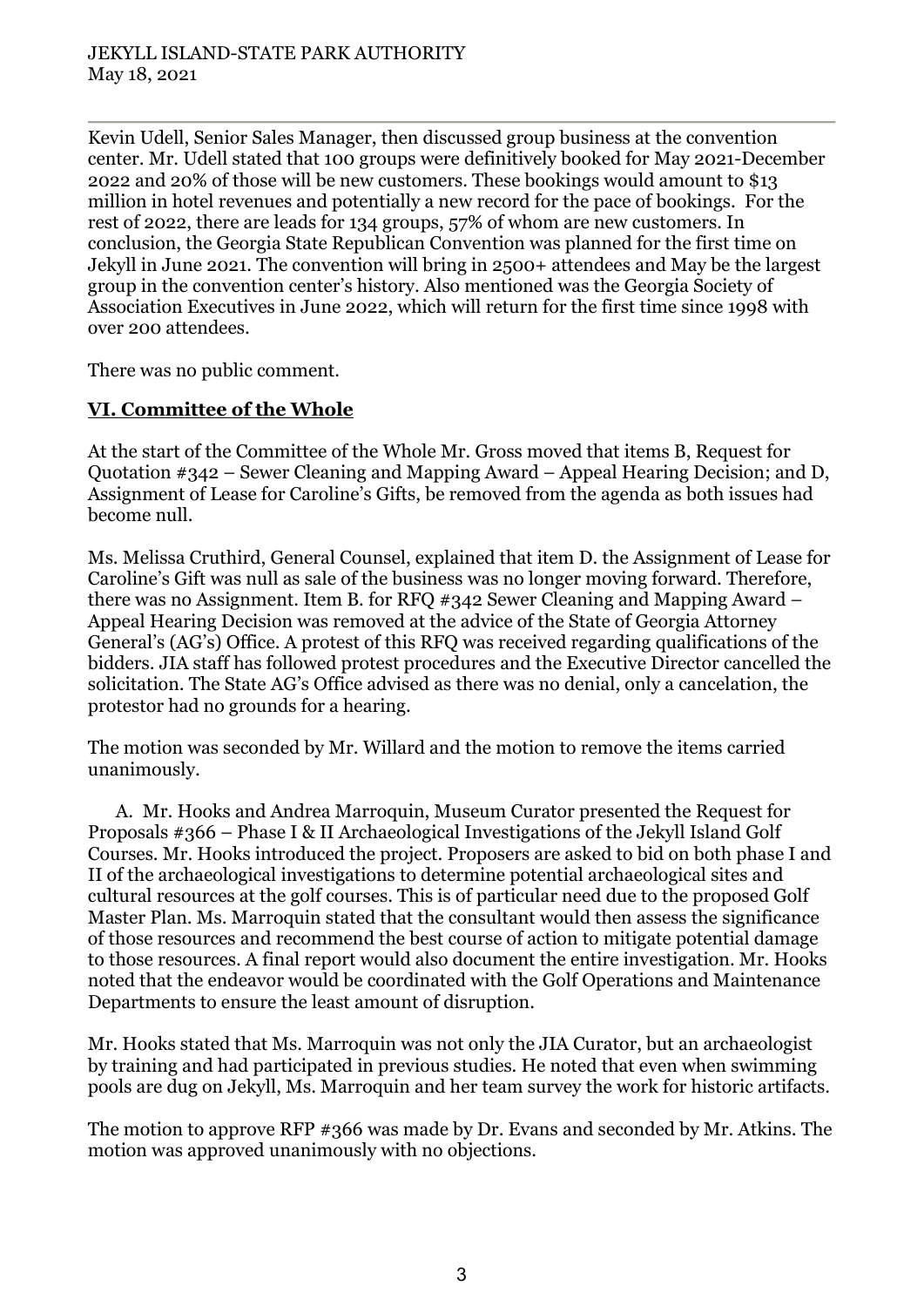Kevin Udell, Senior Sales Manager, then discussed group business at the convention center. Mr. Udell stated that 100 groups were definitively booked for May 2021-December 2022 and 20% of those will be new customers. These bookings would amount to \$13 million in hotel revenues and potentially a new record for the pace of bookings. For the rest of 2022, there are leads for 134 groups, 57% of whom are new customers. In conclusion, the Georgia State Republican Convention was planned for the first time on Jekyll in June 2021. The convention will bring in 2500+ attendees and May be the largest group in the convention center's history. Also mentioned was the Georgia Society of Association Executives in June 2022, which will return for the first time since 1998 with over 200 attendees.

There was no public comment.

### **VI. Committee of the Whole**

At the start of the Committee of the Whole Mr. Gross moved that items B, Request for Quotation #342 – Sewer Cleaning and Mapping Award – Appeal Hearing Decision; and D, Assignment of Lease for Caroline's Gifts, be removed from the agenda as both issues had become null.

Ms. Melissa Cruthird, General Counsel, explained that item D. the Assignment of Lease for Caroline's Gift was null as sale of the business was no longer moving forward. Therefore, there was no Assignment. Item B. for RFQ #342 Sewer Cleaning and Mapping Award – Appeal Hearing Decision was removed at the advice of the State of Georgia Attorney General's (AG's) Office. A protest of this RFQ was received regarding qualifications of the bidders. JIA staff has followed protest procedures and the Executive Director cancelled the solicitation. The State AG's Office advised as there was no denial, only a cancelation, the protestor had no grounds for a hearing.

The motion was seconded by Mr. Willard and the motion to remove the items carried unanimously.

A. Mr. Hooks and Andrea Marroquin, Museum Curator presented the Request for Proposals #366 – Phase I & II Archaeological Investigations of the Jekyll Island Golf Courses. Mr. Hooks introduced the project. Proposers are asked to bid on both phase I and II of the archaeological investigations to determine potential archaeological sites and cultural resources at the golf courses. This is of particular need due to the proposed Golf Master Plan. Ms. Marroquin stated that the consultant would then assess the significance of those resources and recommend the best course of action to mitigate potential damage to those resources. A final report would also document the entire investigation. Mr. Hooks noted that the endeavor would be coordinated with the Golf Operations and Maintenance Departments to ensure the least amount of disruption.

Mr. Hooks stated that Ms. Marroquin was not only the JIA Curator, but an archaeologist by training and had participated in previous studies. He noted that even when swimming pools are dug on Jekyll, Ms. Marroquin and her team survey the work for historic artifacts.

The motion to approve RFP #366 was made by Dr. Evans and seconded by Mr. Atkins. The motion was approved unanimously with no objections.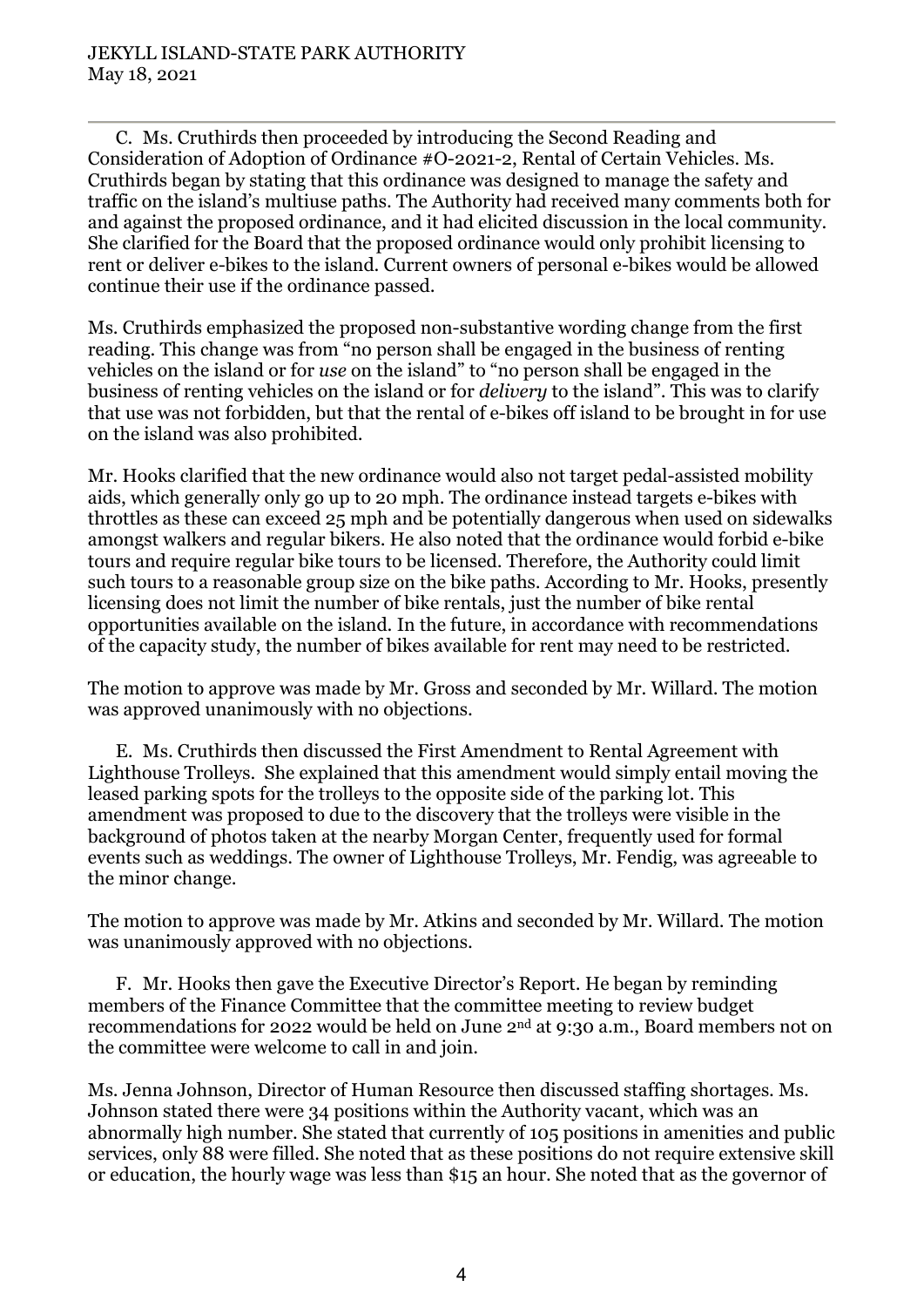C. Ms. Cruthirds then proceeded by introducing the Second Reading and Consideration of Adoption of Ordinance #O-2021-2, Rental of Certain Vehicles. Ms. Cruthirds began by stating that this ordinance was designed to manage the safety and traffic on the island's multiuse paths. The Authority had received many comments both for and against the proposed ordinance, and it had elicited discussion in the local community. She clarified for the Board that the proposed ordinance would only prohibit licensing to rent or deliver e-bikes to the island. Current owners of personal e-bikes would be allowed continue their use if the ordinance passed.

Ms. Cruthirds emphasized the proposed non-substantive wording change from the first reading. This change was from "no person shall be engaged in the business of renting vehicles on the island or for *use* on the island" to "no person shall be engaged in the business of renting vehicles on the island or for *delivery* to the island". This was to clarify that use was not forbidden, but that the rental of e-bikes off island to be brought in for use on the island was also prohibited.

Mr. Hooks clarified that the new ordinance would also not target pedal-assisted mobility aids, which generally only go up to 20 mph. The ordinance instead targets e-bikes with throttles as these can exceed 25 mph and be potentially dangerous when used on sidewalks amongst walkers and regular bikers. He also noted that the ordinance would forbid e-bike tours and require regular bike tours to be licensed. Therefore, the Authority could limit such tours to a reasonable group size on the bike paths. According to Mr. Hooks, presently licensing does not limit the number of bike rentals, just the number of bike rental opportunities available on the island. In the future, in accordance with recommendations of the capacity study, the number of bikes available for rent may need to be restricted.

The motion to approve was made by Mr. Gross and seconded by Mr. Willard. The motion was approved unanimously with no objections.

E. Ms. Cruthirds then discussed the First Amendment to Rental Agreement with Lighthouse Trolleys. She explained that this amendment would simply entail moving the leased parking spots for the trolleys to the opposite side of the parking lot. This amendment was proposed to due to the discovery that the trolleys were visible in the background of photos taken at the nearby Morgan Center, frequently used for formal events such as weddings. The owner of Lighthouse Trolleys, Mr. Fendig, was agreeable to the minor change.

The motion to approve was made by Mr. Atkins and seconded by Mr. Willard. The motion was unanimously approved with no objections.

F. Mr. Hooks then gave the Executive Director's Report. He began by reminding members of the Finance Committee that the committee meeting to review budget recommendations for 2022 would be held on June 2nd at 9:30 a.m., Board members not on the committee were welcome to call in and join.

Ms. Jenna Johnson, Director of Human Resource then discussed staffing shortages. Ms. Johnson stated there were 34 positions within the Authority vacant, which was an abnormally high number. She stated that currently of 105 positions in amenities and public services, only 88 were filled. She noted that as these positions do not require extensive skill or education, the hourly wage was less than \$15 an hour. She noted that as the governor of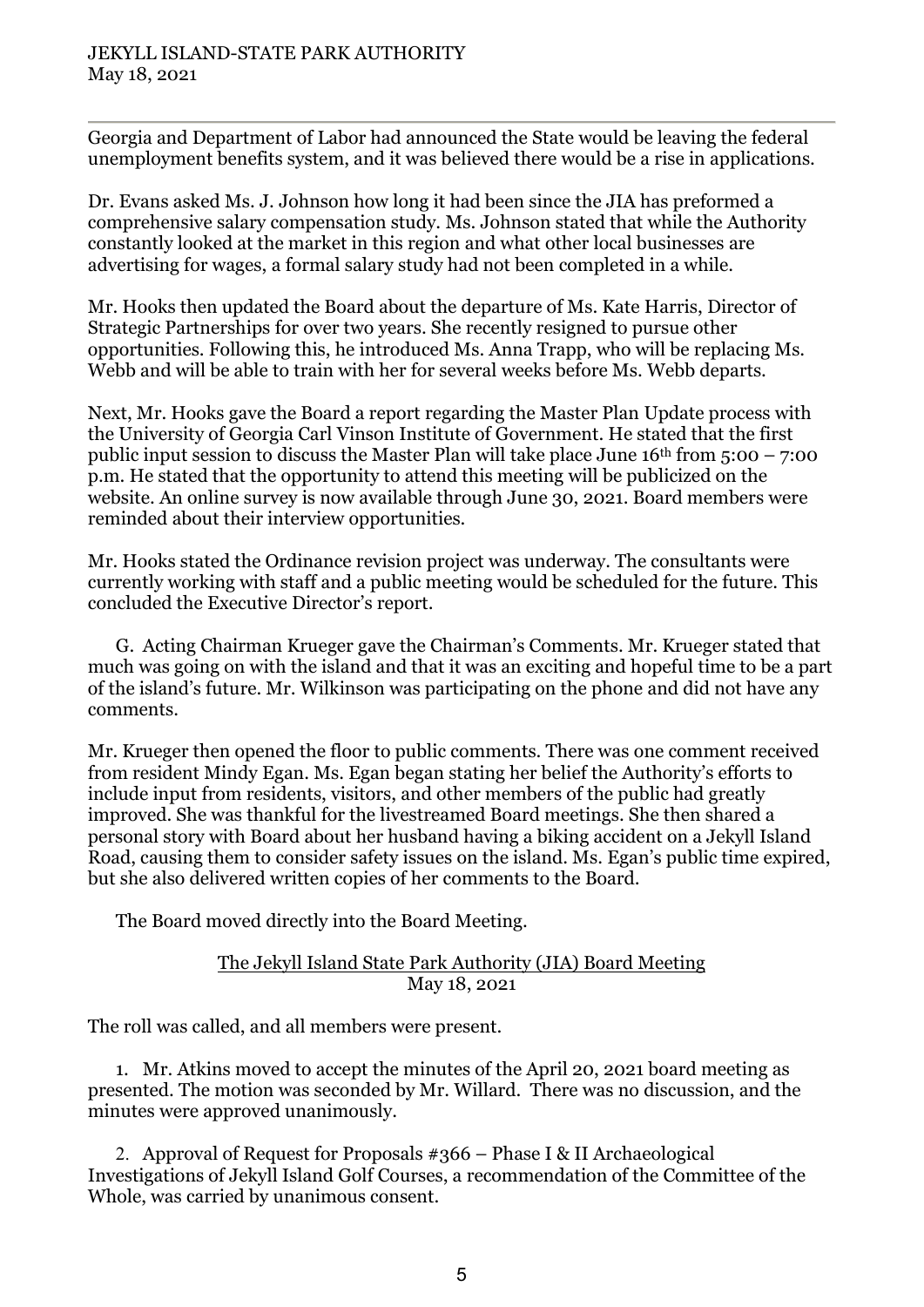Georgia and Department of Labor had announced the State would be leaving the federal unemployment benefits system, and it was believed there would be a rise in applications.

Dr. Evans asked Ms. J. Johnson how long it had been since the JIA has preformed a comprehensive salary compensation study. Ms. Johnson stated that while the Authority constantly looked at the market in this region and what other local businesses are advertising for wages, a formal salary study had not been completed in a while.

Mr. Hooks then updated the Board about the departure of Ms. Kate Harris, Director of Strategic Partnerships for over two years. She recently resigned to pursue other opportunities. Following this, he introduced Ms. Anna Trapp, who will be replacing Ms. Webb and will be able to train with her for several weeks before Ms. Webb departs.

Next, Mr. Hooks gave the Board a report regarding the Master Plan Update process with the University of Georgia Carl Vinson Institute of Government. He stated that the first public input session to discuss the Master Plan will take place June  $16<sup>th</sup>$  from  $5:00 - 7:00$ p.m. He stated that the opportunity to attend this meeting will be publicized on the website. An online survey is now available through June 30, 2021. Board members were reminded about their interview opportunities.

Mr. Hooks stated the Ordinance revision project was underway. The consultants were currently working with staff and a public meeting would be scheduled for the future. This concluded the Executive Director's report.

G. Acting Chairman Krueger gave the Chairman's Comments. Mr. Krueger stated that much was going on with the island and that it was an exciting and hopeful time to be a part of the island's future. Mr. Wilkinson was participating on the phone and did not have any comments.

Mr. Krueger then opened the floor to public comments. There was one comment received from resident Mindy Egan. Ms. Egan began stating her belief the Authority's efforts to include input from residents, visitors, and other members of the public had greatly improved. She was thankful for the livestreamed Board meetings. She then shared a personal story with Board about her husband having a biking accident on a Jekyll Island Road, causing them to consider safety issues on the island. Ms. Egan's public time expired, but she also delivered written copies of her comments to the Board.

The Board moved directly into the Board Meeting.

### The Jekyll Island State Park Authority (JIA) Board Meeting May 18, 2021

The roll was called, and all members were present.

1. Mr. Atkins moved to accept the minutes of the April 20, 2021 board meeting as presented. The motion was seconded by Mr. Willard. There was no discussion, and the minutes were approved unanimously.

2. Approval of Request for Proposals  $\#366$  – Phase I & II Archaeological Investigations of Jekyll Island Golf Courses, a recommendation of the Committee of the Whole, was carried by unanimous consent.